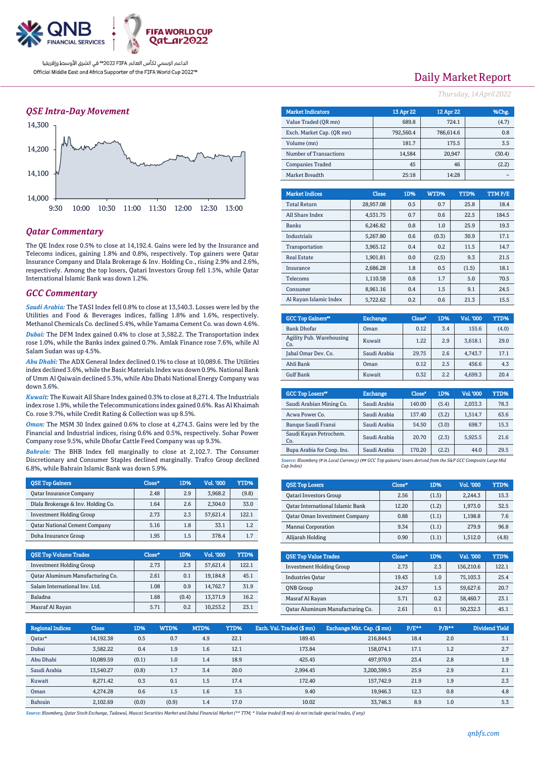

### *QSE Intra-Day Movement*



### *Qatar Commentary*

The QE Index rose 0.5% to close at 14,192.4. Gains were led by the Insurance and Telecoms indices, gaining 1.8% and 0.8%, respectively. Top gainers were Qatar Insurance Company and Dlala Brokerage & Inv. Holding Co., rising 2.9% and 2.6%, respectively. Among the top losers, Qatari Investors Group fell 1.5%, while Qatar International Islamic Bank was down 1.2%.

### *GCC Commentary*

*Saudi Arabia:* The TASI Index fell 0.8% to close at 13,540.3. Losses were led by the Utilities and Food & Beverages indices, falling 1.8% and 1.6%, respectively. Methanol Chemicals Co. declined 5.4%, while Yamama Cement Co. was down 4.6%.

*Dubai:* The DFM Index gained 0.4% to close at 3,582.2. The Transportation index rose 1.0%, while the Banks index gained 0.7%. Amlak Finance rose 7.6%, while Al Salam Sudan was up 4.5%.

*Abu Dhabi:* The ADX General Index declined 0.1% to close at 10,089.6. The Utilities index declined 3.6%, while the Basic Materials Index was down 0.9%. National Bank of Umm Al Qaiwain declined 5.3%, while Abu Dhabi National Energy Company was down 3.6%.

*Kuwait:* The Kuwait All Share Index gained 0.3% to close at 8,271.4. The Industrials index rose 1.9%, while the Telecommunications index gained 0.6%. Ras Al Khaimah Co. rose 9.7%, while Credit Rating & Collection was up 8.5%.

*Oman:* The MSM 30 Index gained 0.6% to close at 4,274.3. Gains were led by the Financial and Industrial indices, rising 0.6% and 0.5%, respectively. Sohar Power Company rose 9.5%, while Dhofar Cattle Feed Company was up 9.3%.

*Bahrain:* The BHB Index fell marginally to close at 2,102.7. The Consumer Discretionary and Consumer Staples declined marginally. Trafco Group declined 6.8%, while Bahrain Islamic Bank was down 5.9%.

| <b>OSE Top Gainers</b>               | Close* | 1D% | Vol. '000 | YTD%  |
|--------------------------------------|--------|-----|-----------|-------|
| <b>Qatar Insurance Company</b>       | 2.48   | 2.9 | 3.968.2   | (9.8) |
| Dlala Brokerage & Inv. Holding Co.   | 1.64   | 2.6 | 2,304.0   | 33.0  |
| <b>Investment Holding Group</b>      | 2.73   | 2.3 | 57,621.4  | 122.1 |
| <b>Qatar National Cement Company</b> | 5.16   | 1.8 | 33.1      | 1.2   |
| Doha Insurance Group                 | 1.95   | 1.5 | 378.4     | 1.7   |

| <b>QSE Top Volume Trades</b>     | Close* | 1D%   | Vol. '000 | YTD%  |
|----------------------------------|--------|-------|-----------|-------|
| <b>Investment Holding Group</b>  | 2.73   | 2.3   | 57,621.4  | 122.1 |
| Oatar Aluminum Manufacturing Co. | 2.61   | 0.1   | 19,184.8  | 45.1  |
| Salam International Inv. Ltd.    | 1.08   | 0.9   | 14,762.7  | 31.9  |
| Baladna                          | 1.68   | (0.4) | 13,371.9  | 16.2  |
| Masraf Al Rayan                  | 5.71   | 0.2   | 10,253.2  | 23.1  |

## Daily Market Report

*Thursday, 14April2022*

| <b>Market Indicators</b>  |  |              | 13 Apr 22 | 12 Apr 22 |        | %Chg.  |
|---------------------------|--|--------------|-----------|-----------|--------|--------|
| Value Traded (QR mn)      |  | 689.8        | 724.1     |           | (4.7)  |        |
| Exch. Market Cap. (QR mn) |  |              | 792,560.4 | 786,614.6 |        | 0.8    |
| Volume (mn)               |  |              | 181.7     |           | 175.5  | 3.5    |
| Number of Transactions    |  |              | 14,584    |           | 20,947 | (30.4) |
| <b>Companies Traded</b>   |  |              | 45        |           | 46     | (2.2)  |
| Market Breadth            |  |              | 25:18     |           | 14:28  |        |
|                           |  |              |           |           |        |        |
| <b>Market Indices</b>     |  | <b>Close</b> | 1D%       | WTD%      | YTD%   | TTMP/E |
| <b>Total Return</b>       |  | 28,957.08    | 0.5       | 0.7       | 25.8   | 18.4   |
| All Share Index           |  | 4,531.75     | 0.7       | 0.6       | 22.5   | 184.5  |
| <b>Banks</b>              |  | 6,246.82     | 0.8       | 1.0       | 25.9   | 19.3   |
| <b>Industrials</b>        |  | 5,267.80     | 0.6       | (0.3)     | 30.9   | 17.1   |
| Transportation            |  | 3,965.12     | 0.4       | 0.2       | 11.5   | 14.7   |
| <b>Real Estate</b>        |  | 1,901.81     | 0.0       | (2.5)     | 9.3    | 21.5   |
| Insurance                 |  | 2,686.28     | 1.8       | 0.5       | (1.5)  | 18.1   |
| Telecoms                  |  | 1,110.58     | 0.8       | 1.7       | 5.0    | 70.5   |
| Consumer                  |  | 8,961.16     | 0.4       | 1.5       | 9.1    | 24.5   |

| <b>GCC Top Gainers</b> "        | <b>Exchange</b> | Close* | 1D% | Vol. '000 | YTD%  |
|---------------------------------|-----------------|--------|-----|-----------|-------|
| <b>Bank Dhofar</b>              | Oman            | 0.12   | 3.4 | 155.6     | (4.0) |
| Agility Pub. Warehousing<br>Co. | Kuwait          | 1.22   | 2.9 | 3,618.1   | 29.0  |
| Jabal Omar Dev. Co.             | Saudi Arabia    | 29.75  | 2.6 | 4.743.7   | 17.1  |
| Ahli Bank                       | Oman            | 0.12   | 2.5 | 456.6     | 4.3   |
| <b>Gulf Bank</b>                | Kuwait          | 0.32   | 2.2 | 4.699.3   | 20.4  |

Al Rayan Islamic Index | 5,722.62 0.2 0.6 21.3 15.5

| <b>GCC Top Losers</b> <sup>88</sup> | <b>Exchange</b> | Close* | 1D%   | Vol. '000 | YTD% |
|-------------------------------------|-----------------|--------|-------|-----------|------|
| Saudi Arabian Mining Co.            | Saudi Arabia    | 140.00 | (5.4) | 2,033.3   | 78.3 |
| Acwa Power Co.                      | Saudi Arabia    | 137.40 | (3.2) | 1.514.7   | 63.6 |
| <b>Banque Saudi Fransi</b>          | Saudi Arabia    | 54.50  | (3.0) | 698.7     | 15.3 |
| Saudi Kayan Petrochem.<br>Co.       | Saudi Arabia    | 20.70  | (2.3) | 5,925.5   | 21.6 |
| Bupa Arabia for Coop. Ins.          | Saudi Arabia    | 170.20 | (2.2) | 44.0      | 29.5 |

*Source: Bloomberg (# in Local Currency) (## GCC Top gainers/ losers derived from the S&P GCC Composite Large Mid Cap Index)*

| <b>QSE Top Losers</b>                   | Close* | 1D%   | Vol. '000 | YTD%  |
|-----------------------------------------|--------|-------|-----------|-------|
| <b>Qatari Investors Group</b>           | 2.56   | (1.5) | 2.244.3   | 15.3  |
| <b>Qatar International Islamic Bank</b> | 12.20  | (1.2) | 1.973.0   | 32.5  |
| <b>Qatar Oman Investment Company</b>    | 0.88   | (1.1) | 1.198.8   | 7.6   |
| Mannai Corporation                      | 9.34   | (1.1) | 279.9     | 96.8  |
| Alijarah Holding                        | 0.90   | (1.1) | 1.512.0   | (4.8) |

| <b>OSE Top Value Trades</b>      | Close* | 1D% | Val. '000 | <b>YTD%</b> |
|----------------------------------|--------|-----|-----------|-------------|
| <b>Investment Holding Group</b>  | 2.73   | 2.3 | 156,210.6 | 122.1       |
| <b>Industries Oatar</b>          | 19.43  | 1.0 | 75,103.3  | 25.4        |
| <b>ONB</b> Group                 | 24.37  | 1.5 | 59,627.6  | 20.7        |
| Masraf Al Rayan                  | 5.71   | 0.2 | 58,460.7  | 23.1        |
| Oatar Aluminum Manufacturing Co. | 2.61   | 0.1 | 50,232.3  | 45.1        |

| <b>Regional Indices</b> | <b>Close</b> | 1D%   | WTD%  | MTD% | YTD% | Exch. Val. Traded (\$ mn) | Exchange Mkt. Cap. (\$mn) | $P/E***$ | $P/B**$ | Dividend Yield |
|-------------------------|--------------|-------|-------|------|------|---------------------------|---------------------------|----------|---------|----------------|
| Oatar*                  | 14.192.38    | 0.5   | 0.7   | 4.9  | 22.1 | 189.45                    | 216,844.5                 | 18.4     | 2.0     | 3.1            |
| Dubai                   | 3,582.22     | 0.4   | 1.9   | 1.6  | 12.1 | 173.84                    | 158,074.1                 | 17.1     | 1.2     | 2.7            |
| Abu Dhabi               | 10.089.59    | (0.1) | 1.0   | 1.4  | 18.9 | 425.45                    | 497.970.9                 | 23.4     | 2.8     | 1.9            |
| Saudi Arabia            | 13.540.27    | (0.8) | 1.7   | 3.4  | 20.0 | 2.994.45                  | 3.200.399.5               | 25.9     | 2.9     | 2.1            |
| Kuwait                  | 8,271.42     | 0.3   | 0.1   | 1.5  | 17.4 | 172.40                    | 157.742.9                 | 21.9     | 1.9     | 2.3            |
| Oman                    | 4.274.28     | 0.6   | 1.5   | 1.6  | 3.5  | 9.40                      | 19.946.3                  | 12.3     | 0.8     | 4.8            |
| Bahrain                 | 2.102.69     | (0.0) | (0.9) | 1.4  | 17.0 | 10.02                     | 33.746.3                  | 8.9      | 1.0     | 5.3            |

*Source: Bloomberg, Qatar Stock Exchange, Tadawul, Muscat Securities Market and Dubai Financial Market (\*\* TTM; \* Value traded (\$ mn) do not include special trades, if any)*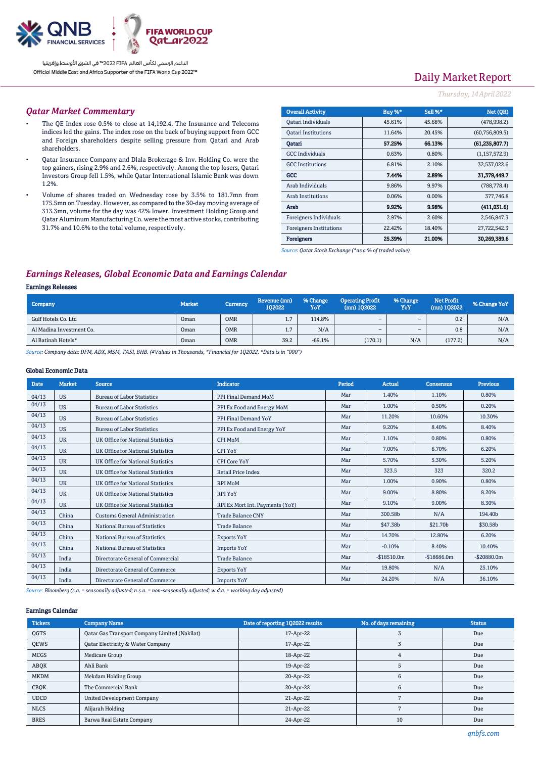

# Daily Market Report

### *Thursday, 14April2022*

#### *Qatar Market Commentary*

- The QE Index rose 0.5% to close at 14,192.4. The Insurance and Telecoms indices led the gains. The index rose on the back of buying support from GCC and Foreign shareholders despite selling pressure from Qatari and Arab shareholders.
- Qatar Insurance Company and Dlala Brokerage & Inv. Holding Co. were the top gainers, rising 2.9% and 2.6%, respectively. Among the top losers, Qatari Investors Group fell 1.5%, while Qatar International Islamic Bank was down 1.2%.
- Volume of shares traded on Wednesday rose by 3.5% to 181.7mn from 175.5mn on Tuesday. However, as compared to the 30-day moving average of 313.3mn, volume for the day was 42% lower. Investment Holding Group and Qatar Aluminum Manufacturing Co. were the most active stocks, contributing 31.7% and 10.6% to the total volume, respectively.

| <b>Overall Activity</b>        | Buy %* | Sell %*  | Net (OR)         |
|--------------------------------|--------|----------|------------------|
| Qatari Individuals             | 45.61% | 45.68%   | (478, 998.2)     |
| <b>Oatari Institutions</b>     | 11.64% | 20.45%   | (60, 756, 809.5) |
| Oatari                         | 57.25% | 66.13%   | (61, 235, 807.7) |
| <b>GCC</b> Individuals         | 0.63%  | 0.80%    | (1, 157, 572.9)  |
| <b>GCC</b> Institutions        | 6.81%  | 2.10%    | 32,537,022.6     |
| GCC                            | 7.44%  | 2.89%    | 31,379,449.7     |
| Arab Individuals               | 9.86%  | 9.97%    | (788, 778.4)     |
| <b>Arab Institutions</b>       | 0.06%  | $0.00\%$ | 377,746.8        |
| Arab                           | 9.92%  | 9.98%    | (411.031.6)      |
| Foreigners Individuals         | 2.97%  | 2.60%    | 2,546,847.3      |
| <b>Foreigners Institutions</b> | 22.42% | 18.40%   | 27,722,542.3     |
| <b>Foreigners</b>              | 25.39% | 21.00%   | 30.269.389.6     |

*Source: Qatar Stock Exchange (\*as a % of traded value)*

### *Earnings Releases, Global Economic Data and Earnings Calendar*

#### Earnings Releases

| Company                  | <b>Market</b> | <b>Currency</b> | Revenue (mn)<br>102022 | % Change<br>YoY | <b>Operating Profit</b><br>$(mn)$ 102022 | % Change<br>YoY | <b>Net Profit</b><br>(mn) 102022 | % Change YoY |
|--------------------------|---------------|-----------------|------------------------|-----------------|------------------------------------------|-----------------|----------------------------------|--------------|
| Gulf Hotels Co. Ltd      | Oman          | <b>OMR</b>      | 1.7                    | 114.8%          | $\overline{\phantom{a}}$                 | -               | 0.2                              | N/A          |
| Al Madina Investment Co. | Oman          | <b>OMR</b>      | 1.7                    | N/A             | $\sim$                                   | -               | 0.8                              | N/A          |
| Al Batinah Hotels*       | Oman          | <b>OMR</b>      | 39.2                   | $-69.1%$        | (170.1)                                  | N/A             | (177.2)                          | N/A          |

*Source: Company data: DFM, ADX, MSM, TASI, BHB. (#Values in Thousands, \*Financial for 1Q2022, \*Data is in "000")*

#### Global Economic Data

| <b>Date</b> | <b>Market</b> | <b>Source</b>                         | <b>Indicator</b>                | Period | Actual       | Consensus    | Previous       |
|-------------|---------------|---------------------------------------|---------------------------------|--------|--------------|--------------|----------------|
| 04/13       | <b>US</b>     | <b>Bureau of Labor Statistics</b>     | PPI Final Demand MoM            | Mar    | 1.40%        | 1.10%        | 0.80%          |
| 04/13       | <b>US</b>     | <b>Bureau of Labor Statistics</b>     | PPI Ex Food and Energy MoM      | Mar    | 1.00%        | 0.50%        | 0.20%          |
| 04/13       | <b>US</b>     | <b>Bureau of Labor Statistics</b>     | PPI Final Demand YoY            | Mar    | 11.20%       | 10.60%       | 10.30%         |
| 04/13       | <b>US</b>     | <b>Bureau of Labor Statistics</b>     | PPI Ex Food and Energy YoY      | Mar    | 9.20%        | 8.40%        | 8.40%          |
| 04/13       | <b>UK</b>     | UK Office for National Statistics     | <b>CPI MoM</b>                  | Mar    | 1.10%        | 0.80%        | 0.80%          |
| 04/13       | <b>UK</b>     | UK Office for National Statistics     | <b>CPI YoY</b>                  | Mar    | 7.00%        | 6.70%        | 6.20%          |
| 04/13       | <b>UK</b>     | UK Office for National Statistics     | <b>CPI Core YoY</b>             | Mar    | 5.70%        | 5.30%        | 5.20%          |
| 04/13       | <b>UK</b>     | UK Office for National Statistics     | Retail Price Index              | Mar    | 323.5        | 323          | 320.2          |
| 04/13       | <b>UK</b>     | UK Office for National Statistics     | <b>RPI MoM</b>                  | Mar    | 1.00%        | 0.90%        | 0.80%          |
| 04/13       | <b>UK</b>     | UK Office for National Statistics     | <b>RPI YoY</b>                  | Mar    | 9.00%        | 8.80%        | 8.20%          |
| 04/13       | <b>UK</b>     | UK Office for National Statistics     | RPI Ex Mort Int. Payments (YoY) | Mar    | 9.10%        | 9.00%        | 8.30%          |
| 04/13       | China         | <b>Customs General Administration</b> | <b>Trade Balance CNY</b>        | Mar    | 300.58b      | N/A          | 194.40b        |
| 04/13       | China         | National Bureau of Statistics         | <b>Trade Balance</b>            | Mar    | \$47.38b     | \$21.70b     | \$30.58b       |
| 04/13       | China         | National Bureau of Statistics         | <b>Exports YoY</b>              | Mar    | 14.70%       | 12.80%       | 6.20%          |
| 04/13       | China         | National Bureau of Statistics         | <b>Imports YoY</b>              | Mar    | $-0.10%$     | 8.40%        | 10.40%         |
| 04/13       | India         | Directorate General of Commercial     | <b>Trade Balance</b>            | Mar    | $-$18510.0m$ | $-$18686.0m$ | $-$ \$20880.0m |
| 04/13       | India         | Directorate General of Commerce       | <b>Exports YoY</b>              | Mar    | 19.80%       | N/A          | 25.10%         |
| 04/13       | India         | Directorate General of Commerce       | <b>Imports YoY</b>              | Mar    | 24.20%       | N/A          | 36.10%         |

*Source: Bloomberg (s.a. = seasonally adjusted; n.s.a. = non-seasonally adjusted; w.d.a. = working day adjusted)*

#### Earnings Calendar

| <b>Tickers</b> | <b>Company Name</b>                           | Date of reporting 1Q2022 results | No. of days remaining | <b>Status</b> |
|----------------|-----------------------------------------------|----------------------------------|-----------------------|---------------|
| QGTS           | Qatar Gas Transport Company Limited (Nakilat) | 17-Apr-22                        |                       | Due           |
| <b>OEWS</b>    | Qatar Electricity & Water Company             | 17-Apr-22                        |                       | Due           |
| <b>MCGS</b>    | Medicare Group                                | 18-Apr-22                        |                       | Due           |
| ABOK           | Ahli Bank                                     | 19-Apr-22                        |                       | Due           |
| <b>MKDM</b>    | Mekdam Holding Group                          | 20-Apr-22                        |                       | Due           |
| CBQK           | The Commercial Bank                           | 20-Apr-22                        |                       | Due           |
| <b>UDCD</b>    | United Development Company                    | 21-Apr-22                        |                       | Due           |
| <b>NLCS</b>    | Alijarah Holding                              | 21-Apr-22                        |                       | Due           |
| <b>BRES</b>    | Barwa Real Estate Company                     | 24-Apr-22                        | 10                    | Due           |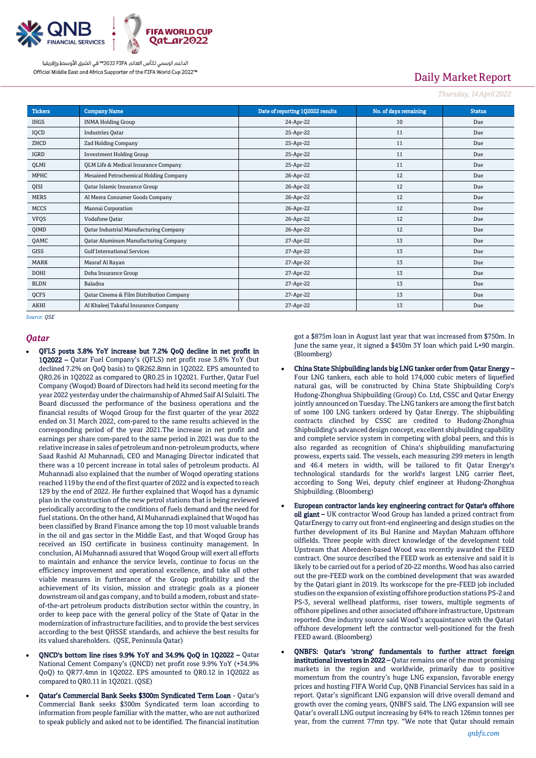

# Daily Market Report

*Thursday, 14April2022*

| <b>Tickers</b> | <b>Company Name</b>                           | Date of reporting 1Q2022 results | No. of days remaining | <b>Status</b> |
|----------------|-----------------------------------------------|----------------------------------|-----------------------|---------------|
| <b>IHGS</b>    | <b>INMA Holding Group</b>                     | 24-Apr-22                        | 10                    | Due           |
| IQCD           | <b>Industries Qatar</b>                       | 25-Apr-22                        | 11                    | Due           |
| ZHCD           | Zad Holding Company                           | 25-Apr-22                        | 11                    | Due           |
| <b>IGRD</b>    | <b>Investment Holding Group</b>               | 25-Apr-22                        | 11                    | Due           |
| QLMI           | QLM Life & Medical Insurance Company          | 25-Apr-22                        | 11                    | Due           |
| MPHC           | Mesaieed Petrochemical Holding Company        | 26-Apr-22                        | 12                    | Due           |
| QISI           | Qatar Islamic Insurance Group                 | 26-Apr-22                        | 12                    | Due           |
| <b>MERS</b>    | Al Meera Consumer Goods Company               | 26-Apr-22                        | 12                    | Due           |
| <b>MCCS</b>    | Mannai Corporation                            | 26-Apr-22                        | 12                    | Due           |
| <b>VFQS</b>    | Vodafone Qatar                                | 26-Apr-22                        | 12                    | Due           |
| QIMD           | <b>Qatar Industrial Manufacturing Company</b> | 26-Apr-22                        | 12                    | Due           |
| QAMC           | <b>Qatar Aluminum Manufacturing Company</b>   | 27-Apr-22                        | 13                    | Due           |
| GISS           | <b>Gulf International Services</b>            | 27-Apr-22                        | 13                    | Due           |
| <b>MARK</b>    | Masraf Al Rayan                               | 27-Apr-22                        | 13                    | Due           |
| <b>DOHI</b>    | Doha Insurance Group                          | 27-Apr-22                        | 13                    | Due           |
| <b>BLDN</b>    | Baladna                                       | 27-Apr-22                        | 13                    | Due           |
| QCFS           | Qatar Cinema & Film Distribution Company      | 27-Apr-22                        | 13                    | Due           |
| <b>AKHI</b>    | Al Khaleej Takaful Insurance Company          | 27-Apr-22                        | 13                    | Due           |

*Source: QSE*

#### *Qatar*

- QFLS posts 3.8% YoY increase but 7.2% QoQ decline in net profit in 1Q2022 – Qatar Fuel Company's (QFLS) net profit rose 3.8% YoY (but declined 7.2% on QoQ basis) to QR262.8mn in 1Q2022. EPS amounted to QR0.26 in 1Q2022 as compared to QR0.25 in 1Q2021. Further, Qatar Fuel Company (Woqod) Board of Directors had held its second meeting for the year 2022 yesterday under the chairmanship of Ahmed Saif Al Sulaiti. The Board discussed the performance of the business operations and the financial results of Woqod Group for the first quarter of the year 2022 ended on 31 March 2022, com-pared to the same results achieved in the corresponding period of the year 2021.The increase in net profit and earnings per share com-pared to the same period in 2021 was due to the relative increase in sales of petroleum and non-petroleum products, where Saad Rashid Al Muhannadi, CEO and Managing Director indicated that there was a 10 percent increase in total sales of petroleum products. Al Muhannadi also explained that the number of Woqod operating stations reached 119 by the end of the first quarter of 2022 and is expected to reach 129 by the end of 2022. He further explained that Woqod has a dynamic plan in the construction of the new petrol stations that is being reviewed periodically according to the conditions of fuels demand and the need for fuel stations. On the other hand, Al Muhannadi explained that Woqod has been classified by Brand Finance among the top 10 most valuable brands in the oil and gas sector in the Middle East, and that Woqod Group has received an ISO certificate in business continuity management. In conclusion, Al Muhannadi assured that Woqod Group will exert all efforts to maintain and enhance the service levels, continue to focus on the efficiency improvement and operational excellence, and take all other viable measures in furtherance of the Group profitability and the achievement of its vision, mission and strategic goals as a pioneer downstream oil and gas company, and to build a modern, robust and stateof-the-art petroleum products distribution sector within the country, in order to keep pace with the general policy of the State of Qatar in the modernization of infrastructure facilities, and to provide the best services according to the best QHSSE standards, and achieve the best results for its valued shareholders. (QSE, Peninsula Qatar)
- QNCD's bottom line rises 9.9% YoY and 34.9% QoQ in 1Q2022 Qatar National Cement Company's (QNCD) net profit rose 9.9% YoY (+34.9% QoQ) to QR77.4mn in 1Q2022. EPS amounted to QR0.12 in 1Q2022 as compared to QR0.11 in 1Q2021. (QSE)
- Qatar's Commercial Bank Seeks \$300m Syndicated Term Loan Qatar's Commercial Bank seeks \$300m Syndicated term loan according to information from people familiar with the matter, who are not authorized to speak publicly and asked not to be identified. The financial institution

got a \$875m loan in August last year that was increased from \$750m. In June the same year, it signed a \$450m 3Y loan which paid L+90 margin. (Bloomberg)

- China State Shipbuilding lands big LNG tanker order from Qatar Energy Four LNG tankers, each able to hold 174,000 cubic meters of liquefied natural gas, will be constructed by China State Shipbuilding Corp's Hudong-Zhonghua Shipbuilding (Group) Co. Ltd, CSSC and Qatar Energy jointly announced on Tuesday. The LNG tankers are among the first batch of some 100 LNG tankers ordered by Qatar Energy. The shipbuilding contracts clinched by CSSC are credited to Hudong-Zhonghua Shipbuilding's advanced design concept, excellent shipbuilding capability and complete service system in competing with global peers, and this is also regarded as recognition of China's shipbuilding manufacturing prowess, experts said. The vessels, each measuring 299 meters in length and 46.4 meters in width, will be tailored to fit Qatar Energy's technological standards for the world's largest LNG carrier fleet, according to Song Wei, deputy chief engineer at Hudong-Zhonghua Shipbuilding. (Bloomberg)
- European contractor lands key engineering contract for Qatar's offshore oil giant - UK contractor Wood Group has landed a prized contract from QatarEnergy to carry out front-end engineering and design studies on the further development of its Bul Hanine and Maydan Mahzam offshore oilfields. Three people with direct knowledge of the development told Upstream that Aberdeen-based Wood was recently awarded the FEED contract. One source described the FEED work as extensive and said it is likely to be carried out for a period of 20-22 months. Wood has also carried out the pre-FEED work on the combined development that was awarded by the Qatari giant in 2019. Its workscope for the pre-FEED job included studies on the expansion of existing offshore production stations PS-2 and PS-3, several wellhead platforms, riser towers, multiple segments of offshore pipelines and other associated offshore infrastructure, Upstream reported. One industry source said Wood's acquaintance with the Qatari offshore development left the contractor well-positioned for the fresh FEED award. (Bloomberg)
- QNBFS: Qatar's 'strong' fundamentals to further attract foreign institutional investors in 2022 – Qatar remains one of the most promising markets in the region and worldwide, primarily due to positive momentum from the country's huge LNG expansion, favorable energy prices and hosting FIFA World Cup, QNB Financial Services has said in a report. Qatar's significant LNG expansion will drive overall demand and growth over the coming years, QNBFS said. The LNG expansion will see Qatar's overall LNG output increasing by 64% to reach 126mn tonnes per year, from the current 77mn tpy. "We note that Qatar should remain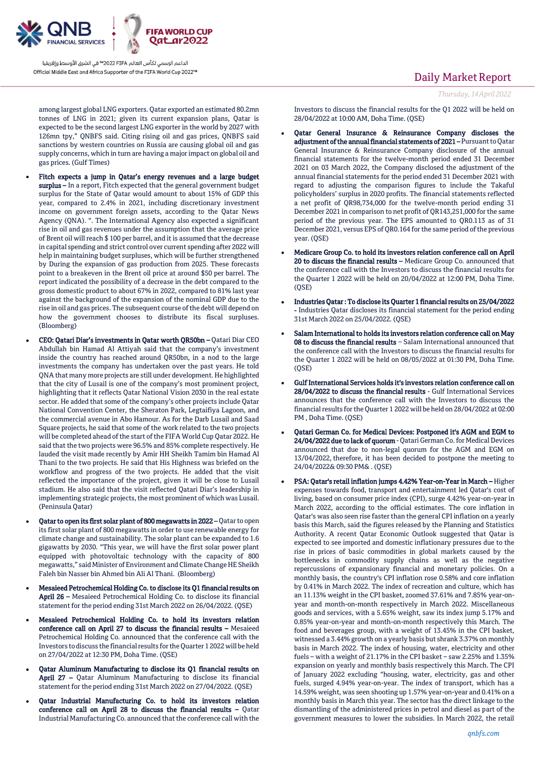

among largest global LNG exporters. Qatar exported an estimated 80.2mn tonnes of LNG in 2021; given its current expansion plans, Qatar is expected to be the second largest LNG exporter in the world by 2027 with 126mn tpy," QNBFS said. Citing rising oil and gas prices, QNBFS said sanctions by western countries on Russia are causing global oil and gas supply concerns, which in turn are having a major impact on global oil and gas prices. (Gulf Times)

- Fitch expects a jump in Qatar's energy revenues and a large budget surplus – In a report, Fitch expected that the general government budget surplus for the State of Qatar would amount to about 15% of GDP this year, compared to 2.4% in 2021, including discretionary investment income on government foreign assets, according to the Qatar News Agency (QNA). ". The International Agency also expected a significant rise in oil and gas revenues under the assumption that the average price of Brent oil will reach \$ 100 per barrel, and it is assumed that the decrease in capital spending and strict control over current spending after 2022 will help in maintaining budget surpluses, which will be further strengthened by During the expansion of gas production from 2025. These forecasts point to a breakeven in the Brent oil price at around \$50 per barrel. The report indicated the possibility of a decrease in the debt compared to the gross domestic product to about 67% in 2022, compared to 81% last year against the background of the expansion of the nominal GDP due to the rise in oil and gas prices. The subsequent course of the debt will depend on how the government chooses to distribute its fiscal surpluses. (Bloomberg)
- CEO: Qatari Diar's investments in Qatar worth QR50bn Qatari Diar CEO Abdullah bin Hamad Al Attiyah said that the company's investment inside the country has reached around QR50bn, in a nod to the large investments the company has undertaken over the past years. He told QNA that many more projects are still under development. He highlighted that the city of Lusail is one of the company's most prominent project, highlighting that it reflects Qatar National Vision 2030 in the real estate sector. He added that some of the company's other projects include Qatar National Convention Center, the Sheraton Park, Legtaifiya Lagoon, and the commercial avenue in Abo Hamour. As for the Darb Lusail and Saad Square projects, he said that some of the work related to the two projects will be completed ahead of the start of the FIFA World Cup Qatar 2022. He said that the two projects were 96.5% and 85% complete respectively. He lauded the visit made recently by Amir HH Sheikh Tamim bin Hamad Al Thani to the two projects. He said that His Highness was briefed on the workflow and progress of the two projects. He added that the visit reflected the importance of the project, given it will be close to Lusail stadium. He also said that the visit reflected Qatari Diar's leadership in implementing strategic projects, the most prominent of which was Lusail. (Peninsula Qatar)
- Qatar to open its first solar plant of 800 megawatts in 2022 Qatar to open its first solar plant of 800 megawatts in order to use renewable energy for climate change and sustainability. The solar plant can be expanded to 1.6 gigawatts by 2030. "This year, we will have the first solar power plant equipped with photovoltaic technology with the capacity of 800 megawatts," said Minister of Environment and Climate Change HE Sheikh Faleh bin Nasser bin Ahmed bin Ali Al Thani. (Bloomberg)
- Mesaieed Petrochemical Holding Co. to disclose its Q1 financial results on April 26 – Mesaieed Petrochemical Holding Co. to disclose its financial statement for the period ending 31st March 2022 on 26/04/2022. (QSE)
- Mesaieed Petrochemical Holding Co. to hold its investors relation conference call on April 27 to discuss the financial results – Mesaieed Petrochemical Holding Co. announced that the conference call with the Investors to discuss the financial results for the Quarter 1 2022 will be held on 27/04/2022 at 12:30 PM, Doha Time. (QSE)
- Qatar Aluminum Manufacturing to disclose its Q1 financial results on April 27 – Qatar Aluminum Manufacturing to disclose its financial statement for the period ending 31st March 2022 on 27/04/2022. (QSE)
- Qatar Industrial Manufacturing Co. to hold its investors relation conference call on April 28 to discuss the financial results – Qatar Industrial Manufacturing Co. announced that the conference call with the

## Daily Market Report

Investors to discuss the financial results for the Q1 2022 will be held on 28/04/2022 at 10:00 AM, Doha Time. (QSE)

- Qatar General Insurance & Reinsurance Company discloses the adjustment of the annual financial statements of 2021 – Pursuant to Qatar General Insurance & Reinsurance Company disclosure of the annual financial statements for the twelve-month period ended 31 December 2021 on 03 March 2022, the Company disclosed the adjustment of the annual financial statements for the period ended 31 December 2021 with regard to adjusting the comparison figures to include the Takaful policyholders' surplus in 2020 profits. The financial statements reflected a net profit of QR98,734,000 for the twelve-month period ending 31 December 2021 in comparison to net profit of QR143,251,000 for the same period of the previous year. The EPS amounted to QR0.113 as of 31 December 2021, versus EPS of QR0.164 for the same period of the previous year. (QSE)
- Medicare Group Co. to hold its investors relation conference call on April 20 to discuss the financial results – Medicare Group Co. announced that the conference call with the Investors to discuss the financial results for the Quarter 1 2022 will be held on 20/04/2022 at 12:00 PM, Doha Time. (QSE)
- Industries Qatar : To disclose its Quarter 1 financial results on 25/04/2022 - Industries Qatar discloses its financial statement for the period ending 31st March 2022 on 25/04/2022. (QSE)
- Salam International to holds its investors relation conference call on May 08 to discuss the financial results – Salam International announced that the conference call with the Investors to discuss the financial results for the Quarter 1 2022 will be held on 08/05/2022 at 01:30 PM, Doha Time. (QSE)
- Gulf International Services holds it's investors relation conference call on 28/04/2022 to discuss the financial results - Gulf International Services announces that the conference call with the Investors to discuss the financial results for the Quarter 1 2022 will be held on 28/04/2022 at 02:00 PM , Doha Time. (QSE)
- Qatari German Co. for Medical Devices: Postponed it's AGM and EGM to 24/04/2022 due to lack of quorum - Qatari German Co. for Medical Devices announced that due to non-legal quorum for the AGM and EGM on 13/04/2022, therefore, it has been decided to postpone the meeting to 24/04/2022& 09:30 PM& . (QSE)
- PSA: Qatar's retail inflation jumps 4.42% Year-on-Year in March Higher expenses towards food, transport and entertainment led Qatar's cost of living, based on consumer price index (CPI), surge 4.42% year-on-year in March 2022, according to the official estimates. The core inflation in Qatar's was also seen rise faster than the general CPI inflation on a yearly basis this March, said the figures released by the Planning and Statistics Authority. A recent Qatar Economic Outlook suggested that Qatar is expected to see imported and domestic inflationary pressures due to the rise in prices of basic commodities in global markets caused by the bottlenecks in commodity supply chains as well as the negative repercussions of expansionary financial and monetary policies. On a monthly basis, the country's CPI inflation rose 0.58% and core inflation by 0.41% in March 2022. The index of recreation and culture, which has an 11.13% weight in the CPI basket, zoomed 37.61% and 7.85% year-onyear and month-on-month respectively in March 2022. Miscellaneous goods and services, with a 5.65% weight, saw its index jump 5.17% and 0.85% year-on-year and month-on-month respectively this March. The food and beverages group, with a weight of 13.45% in the CPI basket, witnessed a 3.44% growth on a yearly basis but shrank 3.37% on monthly basis in March 2022. The index of housing, water, electricity and other fuels – with a weight of 21.17% in the CPI basket – saw 2.25% and 1.35% expansion on yearly and monthly basis respectively this March. The CPI of January 2022 excluding "housing, water, electricity, gas and other fuels, surged 4.94% year-on-year. The index of transport, which has a 14.59% weight, was seen shooting up 1.57% year-on-year and 0.41% on a monthly basis in March this year. The sector has the direct linkage to the dismantling of the administered prices in petrol and diesel as part of the government measures to lower the subsidies. In March 2022, the retail

*Thursday, 14April2022*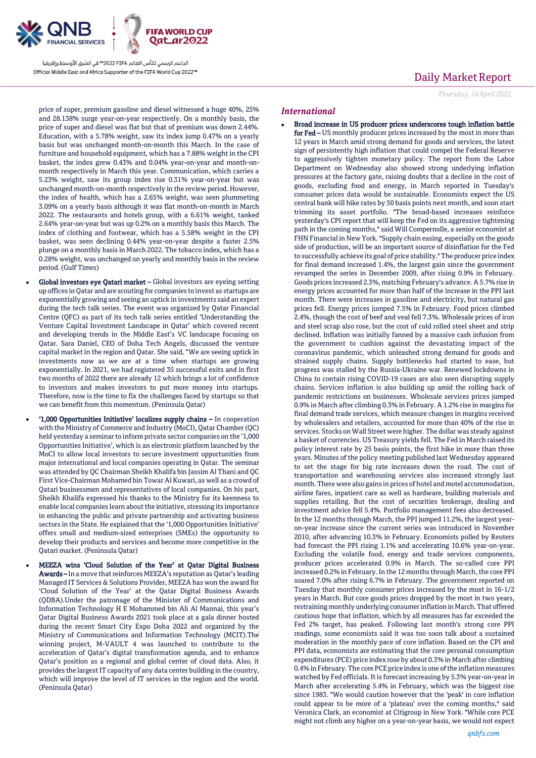

Daily Market Report *Thursday, 14April2022*

price of super, premium gasoline and diesel witnessed a huge 40%, 25% and 28.138% surge year-on-year respectively. On a monthly basis, the price of super and diesel was flat but that of premium was down 2.44%. Education, with a 5.78% weight, saw its index jump 0.47% on a yearly basis but was unchanged month-on-month this March. In the case of furniture and household equipment, which has a 7.88% weight in the CPI basket, the index grew 0.43% and 0.04% year-on-year and month-onmonth respectively in March this year. Communication, which carries a 5.23% weight, saw its group index rise 0.31% year-on-year but was unchanged month-on-month respectively in the review period. However, the index of health, which has a 2.65% weight, was seen plummeting 3.09% on a yearly basis although it was flat month-on-month in March 2022. The restaurants and hotels group, with a 6.61% weight, tanked 2.64% year-on-year but was up 0.2% on a monthly basis this March. The index of clothing and footwear, which has a 5.58% weight in the CPI basket, was seen declining 0.44% year-on-year despite a faster 2.5% plunge on a monthly basis in March 2022. The tobacco index, which has a 0.28% weight, was unchanged on yearly and monthly basis in the review period. (Gulf Times)

- Global investors eye Qatari market Global investors are eyeing setting up offices in Qatar and are scouting for companies to invest as startups are exponentially growing and seeing an uptick in investments said an expert during the tech talk series. The event was organized by Qatar Financial Centre (QFC) as part of its tech talk series entitled 'Understanding the Venture Capital Investment Landscape in Qatar' which covered recent and developing trends in the Middle East's VC landscape focusing on Qatar. Sara Daniel, CEO of Doha Tech Angels, discussed the venture capital market in the region and Qatar. She said, "We are seeing uptick in investments now as we are at a time when startups are growing exponentially. In 2021, we had registered 35 successful exits and in first two months of 2022 there are already 12 which brings a lot of confidence to investors and makes investors to put more money into startups. Therefore, now is the time to fix the challenges faced by startups so that we can benefit from this momentum. (Peninsula Qatar)
- '1,000 Opportunities Initiative' localizes supply chains In cooperation with the Ministry of Commerce and Industry (MoCI), Qatar Chamber (QC) held yesterday a seminar to inform private sector companies on the '1,000 Opportunities Initiative', which is an electronic platform launched by the MoCI to allow local investors to secure investment opportunities from major international and local companies operating in Qatar. The seminar was attended by QC Chairman Sheikh Khalifa bin Jassim Al Thani and QC First Vice-Chairman Mohamed bin Towar Al Kuwari, as well as a crowd of Qatari businessmen and representatives of local companies. On his part, Sheikh Khalifa expressed his thanks to the Ministry for its keenness to enable local companies learn about the initiative, stressing its importance in enhancing the public and private partnership and activating business sectors in the State. He explained that the '1,000 Opportunities Initiative' offers small and medium-sized enterprises (SMEs) the opportunity to develop their products and services and become more competitive in the Qatari market. (Peninsula Qatar)
- MEEZA wins 'Cloud Solution of the Year' at Qatar Digital Business Awards – In a move that reinforces MEEZA's reputation as Qatar's leading Managed IT Services & Solutions Provider, MEEZA has won the award for 'Cloud Solution of the Year' at the Qatar Digital Business Awards (QDBA).Under the patronage of the Minister of Communications and Information Technology H E Mohammed bin Ali Al Mannai, this year's Qatar Digital Business Awards 2021 took place at a gala dinner hosted during the recent Smart City Expo Doha 2022 and organized by the Ministry of Communications and Information Technology (MCIT).The winning project, M-VAULT 4 was launched to contribute to the acceleration of Qatar's digital transformation agenda, and to enhance Qatar's position as a regional and global center of cloud data. Also, it provides the largest IT capacity of any data center building in the country, which will improve the level of IT services in the region and the world. (Peninsula Qatar)

#### *International*

 Broad increase in US producer prices underscores tough inflation battle for Fed - US monthly producer prices increased by the most in more than 12 years in March amid strong demand for goods and services, the latest sign of persistently high inflation that could compel the Federal Reserve to aggressively tighten monetary policy. The report from the Labor Department on Wednesday also showed strong underlying inflation pressures at the factory gate, raising doubts that a decline in the cost of goods, excluding food and energy, in March reported in Tuesday's consumer prices data would be sustainable. Economists expect the US central bank will hike rates by 50 basis points next month, and soon start trimming its asset portfolio. "The broad-based increases reinforce yesterday's CPI report that will keep the Fed on its aggressive tightening path in the coming months," said Will Compernolle, a senior economist at FHN Financial in New York. "Supply chain easing, especially on the goods side of production, will be an important source of disinflation for the Fed to successfully achieve its goal of price stability." The producer price index for final demand increased 1.4%, the largest gain since the government revamped the series in December 2009, after rising 0.9% in February. Goods prices increased 2.3%, matching February's advance. A 5.7% rise in energy prices accounted for more than half of the increase in the PPI last month. There were increases in gasoline and electricity, but natural gas prices fell. Energy prices jumped 7.5% in February. Food prices climbed 2.4%, though the cost of beef and veal fell 7.3%. Wholesale prices of iron and steel scrap also rose, but the cost of cold rolled steel sheet and strip declined. Inflation was initially fanned by a massive cash infusion from the government to cushion against the devastating impact of the coronavirus pandemic, which unleashed strong demand for goods and strained supply chains. Supply bottlenecks had started to ease, but progress was stalled by the Russia-Ukraine war. Renewed lockdowns in China to contain rising COVID-19 cases are also seen disrupting supply chains. Services inflation is also building up amid the rolling back of pandemic restrictions on businesses. Wholesale services prices jumped 0.9% in March after climbing 0.3% in February. A 1.2% rise in margins for final demand trade services, which measure changes in margins received by wholesalers and retailers, accounted for more than 40% of the rise in services. Stocks on Wall Street were higher. The dollar was steady against a basket of currencies. US Treasury yields fell. The Fed in March raised its policy interest rate by 25 basis points, the first hike in more than three years. Minutes of the policy meeting published last Wednesday appeared to set the stage for big rate increases down the road. The cost of transportation and warehousing services also increased strongly last month. There were also gains in prices of hotel and motel accommodation, airline fares, inpatient care as well as hardware, building materials and supplies retailing. But the cost of securities brokerage, dealing and investment advice fell 5.4%. Portfolio management fees also decreased. In the 12 months through March, the PPI jumped 11.2%, the largest yearon-year increase since the current series was introduced in November 2010, after advancing 10.3% in February. Economists polled by Reuters had forecast the PPI rising 1.1% and accelerating 10.6% year-on-year. Excluding the volatile food, energy and trade services components, producer prices accelerated 0.9% in March. The so-called core PPI increased 0.2% in February. In the 12 months through March, the core PPI soared 7.0% after rising 6.7% in February. The government reported on Tuesday that monthly consumer prices increased by the most in 16-1/2 years in March. But core goods prices dropped by the most in two years, restraining monthly underlying consumer inflation in March. That offered cautious hope that inflation, which by all measures has far exceeded the Fed 2% target, has peaked. Following last month's strong core PPI readings, some economists said it was too soon talk about a sustained moderation in the monthly pace of core inflation. Based on the CPI and PPI data, economists are estimating that the core personal consumption expenditures (PCE) price index rose by about 0.3% in March after climbing 0.4% inFebruary. The core PCE price index is one of the inflation measures watched by Fed officials. It is forecast increasing by 5.3% year-on-year in March after accelerating 5.4% in February, which was the biggest rise since 1983. "We would caution however that the 'peak' in core inflation could appear to be more of a 'plateau' over the coming months," said Veronica Clark, an economist at Citigroup in New York. "While core PCE might not climb any higher on a year-on-year basis, we would not expect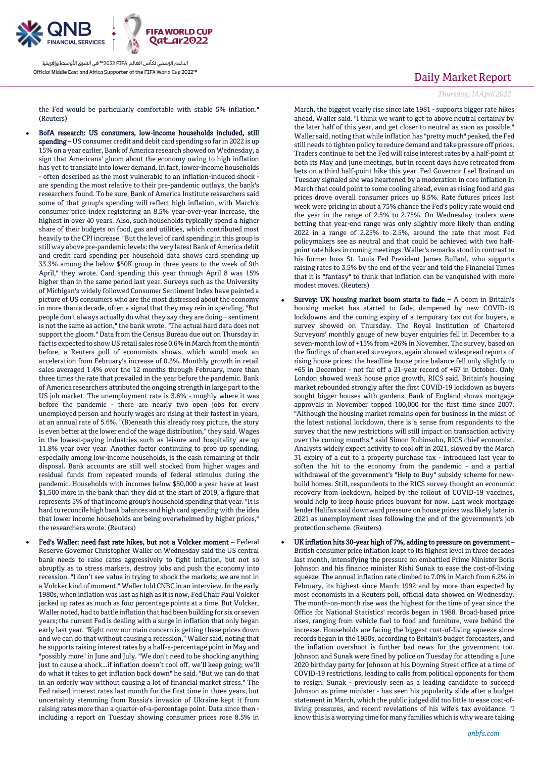

the Fed would be particularly comfortable with stable 5% inflation." (Reuters)

- BofA research: US consumers, low-income households included, still spending – US consumer credit and debit card spending so far in 2022 is up 15% on a year earlier, Bank of America research showed on Wednesday, a sign that Americans' gloom about the economy owing to high inflation has yet to translate into lower demand. In fact, lower-income households - often described as the most vulnerable to an inflation-induced shock are spending the most relative to their pre-pandemic outlays, the bank's researchers found. To be sure, Bank of America Institute researchers said some of that group's spending will reflect high inflation, with March's consumer price index registering an 8.5% year-over-year increase, the highest in over 40 years. Also, such households typically spend a higher share of their budgets on food, gas and utilities, which contributed most heavily to the CPI increase. "But the level of card spending in this group is still way above pre-pandemic levels: the very latest Bank of America debit and credit card spending per household data shows card spending up 33.3% among the below \$50K group in three years to the week of 9th April," they wrote. Card spending this year through April 8 was 15% higher than in the same period last year. Surveys such as the University of Michigan's widely followed Consumer Sentiment Index have painted a picture of US consumers who are the most distressed about the economy in more than a decade, often a signal that they may rein in spending. "But people don't always actually do what they say they are doing – sentiment is not the same as action," the bank wrote. "The actual hard data does not support the gloom." Data from the Census Bureau due out on Thursday in fact is expected to show US retail sales rose 0.6% in March from the month before, a Reuters poll of economists shows, which would mark an acceleration from February's increase of 0.3%. Monthly growth in retail sales averaged 1.4% over the 12 months through February, more than three times the rate that prevailed in the year before the pandemic. Bank of America researchers attributed the ongoing strength in large part to the US job market. The unemployment rate is 3.6% - roughly where it was before the pandemic - there are nearly two open jobs for every unemployed person and hourly wages are rising at their fastest in years, at an annual rate of 5.6%. "(B)eneath this already rosy picture, the story is even better at the lower end of the wage distribution," they said. Wages in the lowest-paying industries such as leisure and hospitality are up 11.8% year over year. Another factor continuing to prop up spending, especially among low-income households, is the cash remaining at their disposal. Bank accounts are still well stocked from higher wages and residual funds from repeated rounds of federal stimulus during the pandemic. Households with incomes below \$50,000 a year have at least \$1,500 more in the bank than they did at the start of 2019, a figure that represents 5% of that income group's household spending that year. "It is hard to reconcile high bank balances and high card spending with the idea that lower income households are being overwhelmed by higher prices," the researchers wrote. (Reuters)
- Fed's Waller: need fast rate hikes, but not a Volcker moment Federal Reserve Governor Christopher Waller on Wednesday said the US central bank needs to raise rates aggressively to fight inflation, but not so abruptly as to stress markets, destroy jobs and push the economy into recession. "I don't see value in trying to shock the markets; we are not in a Volcker kind of moment," Waller told CNBC in an interview. In the early 1980s, when inflation was last as high as it is now, Fed Chair Paul Volcker jacked up rates as much as four percentage points at a time. But Volcker, Waller noted, had to battle inflation that had been building for six or seven years; the current Fed is dealing with a surge in inflation that only began early last year. "Right now our main concern is getting these prices down and we can do that without causing a recession," Waller said, noting that he supports raising interest rates by a half-a-percentage point in May and "possibly more" in June and July. "We don't need to be shocking anything just to cause a shock...if inflation doesn't cool off, we'll keep going; we'll do what it takes to get inflation back down" he said. "But we can do that in an orderly way without causing a lot of financial market stress." The Fed raised interest rates last month for the first time in three years, but uncertainty stemming from Russia's invasion of Ukraine kept it from raising rates more than a quarter-of-a-percentage point. Data since then including a report on Tuesday showing consumer prices rose 8.5% in

## Daily Market Report

#### *Thursday, 14April2022*

March, the biggest yearly rise since late 1981 - supports bigger rate hikes ahead, Waller said. "I think we want to get to above neutral certainly by the later half of this year, and get closer to neutral as soon as possible," Waller said, noting that while inflation has "pretty much" peaked, the Fed still needs to tighten policy to reduce demand and take pressure off prices. Traders continue to bet the Fed will raise interest rates by a half-point at both its May and June meetings, but in recent days have retreated from bets on a third half-point hike this year. Fed Governor Lael Brainard on Tuesday signaled she was heartened by a moderation in core inflation in March that could point to some cooling ahead, even as rising food and gas prices drove overall consumer prices up 8.5%. Rate futures prices last week were pricing in about a 75% chance the Fed's policy rate would end the year in the range of 2.5% to 2.75%. On Wednesday traders were betting that year-end range was only slightly more likely than ending 2022 in a range of 2.25% to 2.5%, around the rate that most Fed policymakers see as neutral and that could be achieved with two halfpoint rate hikes in coming meetings. Waller's remarks stood in contrast to his former boss St. Louis Fed President James Bullard, who supports raising rates to 3.5% by the end of the year and told the Financial Times that it is "fantasy" to think that inflation can be vanquished with more modest moves. (Reuters)

- Survey: UK housing market boom starts to fade A boom in Britain's housing market has started to fade, dampened by new COVID-19 lockdowns and the coming expiry of a temporary tax cut for buyers, a survey showed on Thursday. The Royal Institution of Chartered Surveyors' monthly gauge of new buyer enquiries fell in December to a seven-month low of +15% from +26% in November. The survey, based on the findings of chartered surveyors, again showed widespread reports of rising house prices: the headline house price balance fell only slightly to +65 in December - not far off a 21-year record of +67 in October. Only London showed weak house price growth, RICS said. Britain's housing market rebounded strongly after the first COVID-19 lockdown as buyers sought bigger houses with gardens. Bank of England shows mortgage approvals in November topped 100,000 for the first time since 2007. "Although the housing market remains open for business in the midst of the latest national lockdown, there is a sense from respondents to the survey that the new restrictions will still impact on transaction activity over the coming months," said Simon Rubinsohn, RICS chief economist. Analysts widely expect activity to cool off in 2021, slowed by the March 31 expiry of a cut to a property purchase tax - introduced last year to soften the hit to the economy from the pandemic - and a partial withdrawal of the government's "Help to Buy" subsidy scheme for newbuild homes. Still, respondents to the RICS survey thought an economic recovery from lockdown, helped by the rollout of COVID-19 vaccines, would help to keep house prices buoyant for now. Last week mortgage lender Halifax said downward pressure on house prices was likely later in 2021 as unemployment rises following the end of the government's job protection scheme. (Reuters)
- UK inflation hits 30-year high of 7%, adding to pressure on government British consumer price inflation leapt to its highest level in three decades last month, intensifying the pressure on embattled Prime Minister Boris Johnson and his finance minister Rishi Sunak to ease the cost-of-living squeeze. The annual inflation rate climbed to 7.0% in March from 6.2% in February, its highest since March 1992 and by more than expected by most economists in a Reuters poll, official data showed on Wednesday. The month-on-month rise was the highest for the time of year since the Office for National Statistics' records began in 1988. Broad-based price rises, ranging from vehicle fuel to food and furniture, were behind the increase. Households are facing the biggest cost-of-living squeeze since records began in the 1950s, according to Britain's budget forecasters, and the inflation overshoot is further bad news for the government too. Johnson and Sunak were fined by police on Tuesday for attending a June 2020 birthday party for Johnson at his Downing Street office at a time of COVID-19 restrictions, leading to calls from political opponents for them to resign. Sunak - previously seen as a leading candidate to succeed Johnson as prime minister - has seen his popularity slide after a budget statement in March, which the public judged did too little to ease cost-ofliving pressures, and recent revelations of his wife's tax avoidance. "I know this is a worrying time for many families which is why we are taking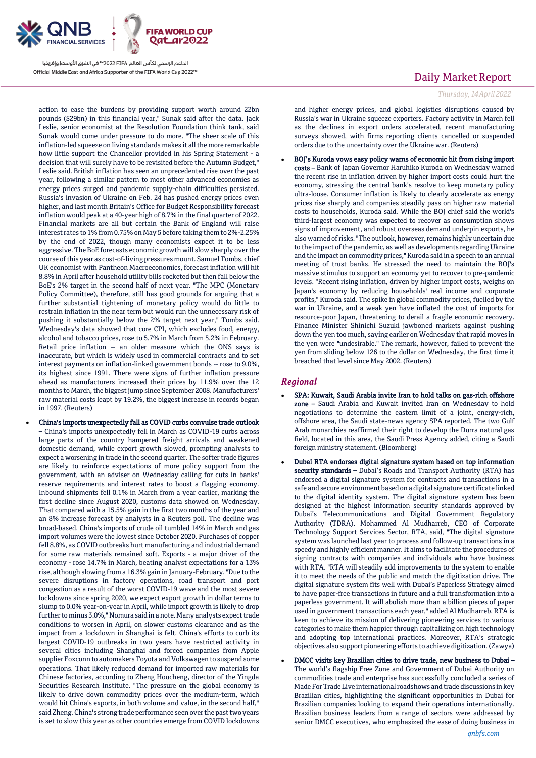

action to ease the burdens by providing support worth around 22bn pounds (\$29bn) in this financial year," Sunak said after the data. Jack Leslie, senior economist at the Resolution Foundation think tank, said Sunak would come under pressure to do more. "The sheer scale of this inflation-led squeeze on living standards makes it all the more remarkable how little support the Chancellor provided in his Spring Statement - a decision that will surely have to be revisited before the Autumn Budget," Leslie said. British inflation has seen an unprecedented rise over the past year, following a similar pattern to most other advanced economies as energy prices surged and pandemic supply-chain difficulties persisted. Russia's invasion of Ukraine on Feb. 24 has pushed energy prices even higher, and last month Britain's Office for Budget Responsibility forecast inflation would peak at a 40-year high of 8.7% in the final quarter of 2022. Financial markets are all but certain the Bank of England will raise interest rates to 1% from 0.75% on May 5 before taking them to 2%-2.25% by the end of 2022, though many economists expect it to be less aggressive. The BoE forecasts economic growth will slow sharply over the course of this year as cost-of-living pressures mount. Samuel Tombs, chief UK economist with Pantheon Macroeconomics, forecast inflation will hit 8.8% in April after household utility bills rocketed but then fall below the BoE's 2% target in the second half of next year. "The MPC (Monetary Policy Committee), therefore, still has good grounds for arguing that a further substantial tightening of monetary policy would do little to restrain inflation in the near term but would run the unnecessary risk of pushing it substantially below the 2% target next year," Tombs said. Wednesday's data showed that core CPI, which excludes food, energy, alcohol and tobacco prices, rose to 5.7% in March from 5.2% in February. Retail price inflation -- an older measure which the ONS says is inaccurate, but which is widely used in commercial contracts and to set interest payments on inflation-linked government bonds -- rose to 9.0%, its highest since 1991. There were signs of further inflation pressure ahead as manufacturers increased their prices by 11.9% over the 12 months to March, the biggest jump since September 2008. Manufacturers' raw material costs leapt by 19.2%, the biggest increase in records began in 1997. (Reuters)

 China's imports unexpectedly fall as COVID curbs convulse trade outlook – China's imports unexpectedly fell in March as COVID-19 curbs across large parts of the country hampered freight arrivals and weakened domestic demand, while export growth slowed, prompting analysts to expect a worsening in trade in the second quarter. The softer trade figures are likely to reinforce expectations of more policy support from the government, with an adviser on Wednesday calling for cuts in banks' reserve requirements and interest rates to boost a flagging economy. Inbound shipments fell 0.1% in March from a year earlier, marking the first decline since August 2020, customs data showed on Wednesday. That compared with a 15.5% gain in the first two months of the year and an 8% increase forecast by analysts in a Reuters poll. The decline was broad-based. China's imports of crude oil tumbled 14% in March and gas import volumes were the lowest since October 2020. Purchases of copper fell 8.8%, as COVID outbreaks hurt manufacturing and industrial demand for some raw materials remained soft. Exports - a major driver of the economy - rose 14.7% in March, beating analyst expectations for a 13% rise, although slowing from a 16.3% gain in January-February. "Due to the severe disruptions in factory operations, road transport and port congestion as a result of the worst COVID-19 wave and the most severe lockdowns since spring 2020, we expect export growth in dollar terms to slump to 0.0% year-on-year in April, while import growth is likely to drop further to minus 3.0%," Nomura said in a note. Many analysts expect trade conditions to worsen in April, on slower customs clearance and as the impact from a lockdown in Shanghai is felt. China's efforts to curb its largest COVID-19 outbreaks in two years have restricted activity in several cities including Shanghai and forced companies from Apple supplier Foxconn to automakers Toyota and Volkswagen to suspend some operations. That likely reduced demand for imported raw materials for Chinese factories, according to Zheng Houcheng, director of the Yingda Securities Research Institute. "The pressure on the global economy is likely to drive down commodity prices over the medium-term, which would hit China's exports, in both volume and value, in the second half," said Zheng. China's strong trade performance seen over the past two years is set to slow this year as other countries emerge from COVID lockdowns

### Daily Market Report

*Thursday, 14April2022*

and higher energy prices, and global logistics disruptions caused by Russia's war in Ukraine squeeze exporters. Factory activity in March fell as the declines in export orders accelerated, recent manufacturing surveys showed, with firms reporting clients cancelled or suspended orders due to the uncertainty over the Ukraine war. (Reuters)

 BOJ's Kuroda vows easy policy warns of economic hit from rising import costs – Bank of Japan Governor Haruhiko Kuroda on Wednesday warned the recent rise in inflation driven by higher import costs could hurt the economy, stressing the central bank's resolve to keep monetary policy ultra-loose. Consumer inflation is likely to clearly accelerate as energy prices rise sharply and companies steadily pass on higher raw material costs to households, Kuroda said. While the BOJ chief said the world's third-largest economy was expected to recover as consumption shows signs of improvement, and robust overseas demand underpin exports, he also warned of risks. "The outlook, however, remains highly uncertain due to the impact of the pandemic, as well as developments regarding Ukraine and the impact on commodity prices," Kuroda said in a speech to an annual meeting of trust banks. He stressed the need to maintain the BOJ's massive stimulus to support an economy yet to recover to pre-pandemic levels. "Recent rising inflation, driven by higher import costs, weighs on Japan's economy by reducing households' real income and corporate profits," Kuroda said. The spike in global commodity prices, fuelled by the war in Ukraine, and a weak yen have inflated the cost of imports for resource-poor Japan, threatening to derail a fragile economic recovery. Finance Minister Shinichi Suzuki jawboned markets against pushing down the yen too much, saying earlier on Wednesday that rapid moves in the yen were "undesirable." The remark, however, failed to prevent the yen from sliding below 126 to the dollar on Wednesday, the first time it breached that level since May 2002. (Reuters)

### *Regional*

- SPA: Kuwait, Saudi Arabia invite Iran to hold talks on gas-rich offshore zone – Saudi Arabia and Kuwait invited Iran on Wednesday to hold negotiations to determine the eastern limit of a joint, energy-rich, offshore area, the Saudi state-news agency SPA reported. The two Gulf Arab monarchies reaffirmed their right to develop the Durra natural gas field, located in this area, the Saudi Press Agency added, citing a Saudi foreign ministry statement. (Bloomberg)
- Dubai RTA endorses digital signature system based on top information security standards - Dubai's Roads and Transport Authority (RTA) has endorsed a digital signature system for contracts and transactions in a safe and secure environment based on a digital signature certificate linked to the digital identity system. The digital signature system has been designed at the highest information security standards approved by Dubai's Telecommunications and Digital Government Regulatory Authority (TDRA). Mohammed Al Mudharreb, CEO of Corporate Technology Support Services Sector, RTA, said, "The digital signature system was launched last year to process and follow-up transactions in a speedy and highly efficient manner. It aims to facilitate the procedures of signing contracts with companies and individuals who have business with RTA. "RTA will steadily add improvements to the system to enable it to meet the needs of the public and match the digitization drive. The digital signature system fits well with Dubai's Paperless Strategy aimed to have paper-free transactions in future and a full transformation into a paperless government. It will abolish more than a billion pieces of paper used in government transactions each year," added Al Mudharreb. RTA is keen to achieve its mission of delivering pioneering services to various categories to make them happier through capitalizing on high technology and adopting top international practices. Moreover, RTA's strategic objectives also support pioneering efforts to achieve digitization. (Zawya)
- DMCC visits key Brazilian cities to drive trade, new business to Dubai The world's flagship Free Zone and Government of Dubai Authority on commodities trade and enterprise has successfully concluded a series of Made For Trade Live international roadshows and trade discussions in key Brazilian cities, highlighting the significant opportunities in Dubai for Brazilian companies looking to expand their operations internationally. Brazilian business leaders from a range of sectors were addressed by senior DMCC executives, who emphasized the ease of doing business in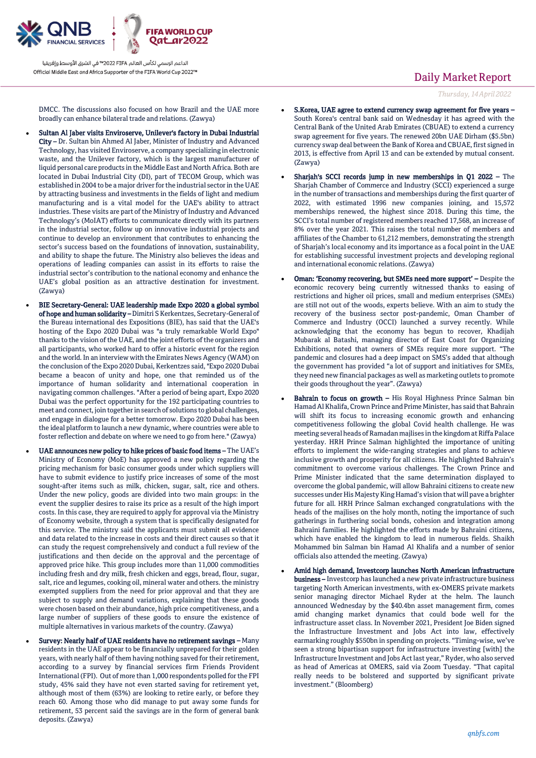

## DMCC. The discussions also focused on how Brazil and the UAE more broadly can enhance bilateral trade and relations. (Zawya)

- Sultan Al Jaber visits Enviroserve, Unilever's factory in Dubai Industrial City – Dr. Sultan bin Ahmed Al Jaber, Minister of Industry and Advanced Technology, has visited Enviroserve, a company specializing in electronic waste, and the Unilever factory, which is the largest manufacturer of liquid personal care products in the Middle East and North Africa. Both are located in Dubai Industrial City (DI), part of TECOM Group, which was established in 2004 to be a major driver for the industrial sector in the UAE by attracting business and investments in the fields of light and medium manufacturing and is a vital model for the UAE's ability to attract industries. These visits are part of the Ministry of Industry and Advanced Technology's (MoIAT) efforts to communicate directly with its partners in the industrial sector, follow up on innovative industrial projects and continue to develop an environment that contributes to enhancing the sector's success based on the foundations of innovation, sustainability, and ability to shape the future. The Ministry also believes the ideas and operations of leading companies can assist in its efforts to raise the industrial sector's contribution to the national economy and enhance the UAE's global position as an attractive destination for investment. (Zawya)
	- BIE Secretary-General: UAE leadership made Expo 2020 a global symbol of hope and human solidarity – Dimitri S Kerkentzes, Secretary-General of the Bureau international des Expositions (BIE), has said that the UAE's hosting of the Expo 2020 Dubai was "a truly remarkable World Expo" thanks to the vision of the UAE, and the joint efforts of the organizers and all participants, who worked hard to offer a historic event for the region and the world. In an interview with the Emirates News Agency (WAM) on the conclusion of the Expo 2020 Dubai, Kerkentzes said, "Expo 2020 Dubai became a beacon of unity and hope, one that reminded us of the importance of human solidarity and international cooperation in navigating common challenges. "After a period of being apart, Expo 2020 Dubai was the perfect opportunity for the 192 participating countries to meet and connect, join together in search of solutions to global challenges, and engage in dialogue for a better tomorrow. Expo 2020 Dubai has been the ideal platform to launch a new dynamic, where countries were able to foster reflection and debate on where we need to go from here." (Zawya)
- UAE announces new policy to hike prices of basic food items The UAE's Ministry of Economy (MoE) has approved a new policy regarding the pricing mechanism for basic consumer goods under which suppliers will have to submit evidence to justify price increases of some of the most sought-after items such as milk, chicken, sugar, salt, rice and others. Under the new policy, goods are divided into two main groups: in the event the supplier desires to raise its price as a result of the high import costs. In this case, they are required to apply for approval via the Ministry of Economy website, through a system that is specifically designated for this service. The ministry said the applicants must submit all evidence and data related to the increase in costs and their direct causes so that it can study the request comprehensively and conduct a full review of the justifications and then decide on the approval and the percentage of approved price hike. This group includes more than 11,000 commodities including fresh and dry milk, fresh chicken and eggs, bread, flour, sugar, salt, rice and legumes, cooking oil, mineral water and others. the ministry exempted suppliers from the need for prior approval and that they are subject to supply and demand variations, explaining that these goods were chosen based on their abundance, high price competitiveness, and a large number of suppliers of these goods to ensure the existence of multiple alternatives in various markets of the country. (Zawya)
- Survey: Nearly half of UAE residents have no retirement savings Many residents in the UAE appear to be financially unprepared for their golden years, with nearly half of them having nothing saved for their retirement, according to a survey by financial services firm Friends Provident International (FPI). Out of more than 1,000 respondents polled for the FPI study, 45% said they have not even started saving for retirement yet, although most of them (63%) are looking to retire early, or before they reach 60. Among those who did manage to put away some funds for retirement, 53 percent said the savings are in the form of general bank deposits. (Zawya)

# Daily Market Report

*Thursday, 14April2022*

- S.Korea, UAE agree to extend currency swap agreement for five years South Korea's central bank said on Wednesday it has agreed with the Central Bank of the United Arab Emirates (CBUAE) to extend a currency swap agreement for five years. The renewed 20bn UAE Dirham (\$5.5bn) currency swap deal between the Bank of Korea and CBUAE, first signed in 2013, is effective from April 13 and can be extended by mutual consent. (Zawya)
- Sharjah's SCCI records jump in new memberships in Q1 2022 The Sharjah Chamber of Commerce and Industry (SCCI) experienced a surge in the number of transactions and memberships during the first quarter of 2022, with estimated 1996 new companies joining, and 15,572 memberships renewed, the highest since 2018. During this time, the SCCI's total number of registered members reached 17,568, an increase of 8% over the year 2021. This raises the total number of members and affiliates of the Chamber to 61,212 members, demonstrating the strength of Sharjah's local economy and its importance as a focal point in the UAE for establishing successful investment projects and developing regional and international economic relations. (Zawya)
- Oman: 'Economy recovering, but SMEs need more support' Despite the economic recovery being currently witnessed thanks to easing of restrictions and higher oil prices, small and medium enterprises (SMEs) are still not out of the woods, experts believe. With an aim to study the recovery of the business sector post-pandemic, Oman Chamber of Commerce and Industry (OCCI) launched a survey recently. While acknowledging that the economy has begun to recover, Khadijah Mubarak al Batashi, managing director of East Coast for Organizing Exhibitions, noted that owners of SMEs require more support. "The pandemic and closures had a deep impact on SMS's added that although the government has provided "a lot of support and initiatives for SMEs, they need new financial packages as well as marketing outlets to promote their goods throughout the year". (Zawya)
- Bahrain to focus on growth His Royal Highness Prince Salman bin Hamad Al Khalifa, Crown Prince and Prime Minister, has said that Bahrain will shift its focus to increasing economic growth and enhancing competitiveness following the global Covid health challenge. He was meeting several heads of Ramadan majlises in the kingdom at Riffa Palace yesterday. HRH Prince Salman highlighted the importance of uniting efforts to implement the wide-ranging strategies and plans to achieve inclusive growth and prosperity for all citizens. He highlighted Bahrain's commitment to overcome various challenges. The Crown Prince and Prime Minister indicated that the same determination displayed to overcome the global pandemic, will allow Bahraini citizens to create new successes under His Majesty King Hamad's vision that will pave a brighter future for all. HRH Prince Salman exchanged congratulations with the heads of the majlises on the holy month, noting the importance of such gatherings in furthering social bonds, cohesion and integration among Bahraini families. He highlighted the efforts made by Bahraini citizens, which have enabled the kingdom to lead in numerous fields. Shaikh Mohammed bin Salman bin Hamad Al Khalifa and a number of senior officials also attended the meeting. (Zawya)
- Amid high demand, Investcorp launches North American infrastructure business – Investcorp has launched a new private infrastructure business targeting North American investments, with ex-OMERS private markets senior managing director Michael Ryder at the helm. The launch announced Wednesday by the \$40.4bn asset management firm, comes amid changing market dynamics that could bode well for the infrastructure asset class. In November 2021, President Joe Biden signed the Infrastructure Investment and Jobs Act into law, effectively earmarking roughly \$550bn in spending on projects. "Timing-wise, we've seen a strong bipartisan support for infrastructure investing [with] the Infrastructure Investment and Jobs Act last year," Ryder, who also served as head of Americas at OMERS, said via Zoom Tuesday. "That capital really needs to be bolstered and supported by significant private investment." (Bloomberg)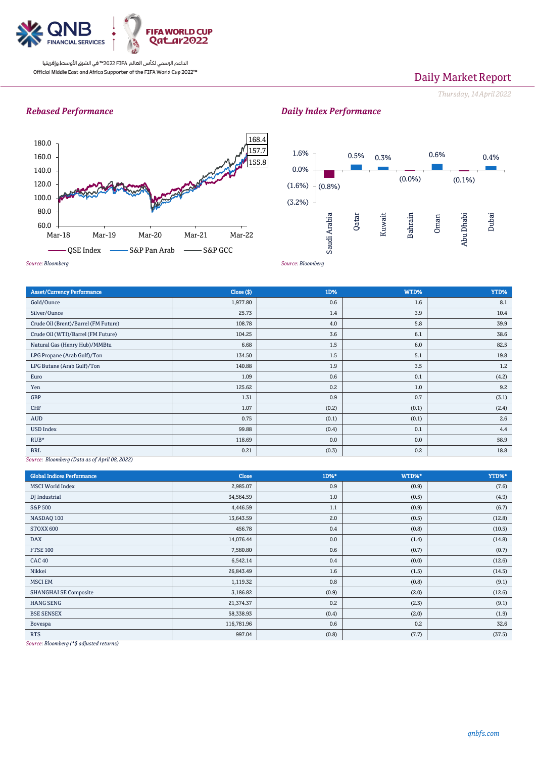

## Daily Market Report

*Thursday, 14April2022*

### *Rebased Performance*





*Daily Index Performance*

*Source: Bloomberg*

| <b>Asset/Currency Performance</b>    | Close (\$) | 1D%   | WTD%  | YTD%  |
|--------------------------------------|------------|-------|-------|-------|
| Gold/Ounce                           | 1,977.80   | 0.6   | 1.6   | 8.1   |
| Silver/Ounce                         | 25.73      | 1.4   | 3.9   | 10.4  |
| Crude Oil (Brent)/Barrel (FM Future) | 108.78     | 4.0   | 5.8   | 39.9  |
| Crude Oil (WTI)/Barrel (FM Future)   | 104.25     | 3.6   | 6.1   | 38.6  |
| Natural Gas (Henry Hub)/MMBtu        | 6.68       | 1.5   | 6.0   | 82.5  |
| LPG Propane (Arab Gulf)/Ton          | 134.50     | 1.5   | 5.1   | 19.8  |
| LPG Butane (Arab Gulf)/Ton           | 140.88     | 1.9   | 3.5   | 1.2   |
| Euro                                 | 1.09       | 0.6   | 0.1   | (4.2) |
| Yen                                  | 125.62     | 0.2   | 1.0   | 9.2   |
| GBP                                  | 1.31       | 0.9   | 0.7   | (3.1) |
| CHF                                  | 1.07       | (0.2) | (0.1) | (2.4) |
| AUD                                  | 0.75       | (0.1) | (0.1) | 2.6   |
| <b>USD Index</b>                     | 99.88      | (0.4) | 0.1   | 4.4   |
| $RUB*$                               | 118.69     | 0.0   | 0.0   | 58.9  |
| <b>BRL</b>                           | 0.21       | (0.3) | 0.2   | 18.8  |

*Source: Bloomberg (Data as of April 08, 2022)*

| <b>Global Indices Performance</b> | <b>Close</b> | 1D%*  | WTD%* | YTD%*  |
|-----------------------------------|--------------|-------|-------|--------|
| <b>MSCI World Index</b>           | 2,985.07     | 0.9   | (0.9) | (7.6)  |
| DJ Industrial                     | 34,564.59    | 1.0   | (0.5) | (4.9)  |
| <b>S&amp;P 500</b>                | 4,446.59     | 1.1   | (0.9) | (6.7)  |
| NASDAQ 100                        | 13,643.59    | 2.0   | (0.5) | (12.8) |
| STOXX 600                         | 456.78       | 0.4   | (0.8) | (10.5) |
| <b>DAX</b>                        | 14,076.44    | 0.0   | (1.4) | (14.8) |
| <b>FTSE 100</b>                   | 7,580.80     | 0.6   | (0.7) | (0.7)  |
| <b>CAC 40</b>                     | 6,542.14     | 0.4   | (0.0) | (12.6) |
| Nikkei                            | 26,843.49    | 1.6   | (1.5) | (14.5) |
| <b>MSCI EM</b>                    | 1,119.32     | 0.8   | (0.8) | (9.1)  |
| <b>SHANGHAI SE Composite</b>      | 3,186.82     | (0.9) | (2.0) | (12.6) |
| <b>HANG SENG</b>                  | 21,374.37    | 0.2   | (2.3) | (9.1)  |
| <b>BSE SENSEX</b>                 | 58,338.93    | (0.4) | (2.0) | (1.9)  |
| Bovespa                           | 116,781.96   | 0.6   | 0.2   | 32.6   |
| <b>RTS</b>                        | 997.04       | (0.8) | (7.7) | (37.5) |

*Source: Bloomberg (\*\$ adjusted returns)*

## *qnbfs.com*